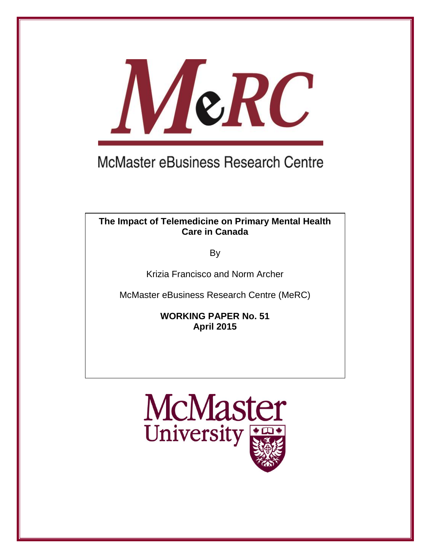

# **McMaster eBusiness Research Centre**

### **The Impact of Telemedicine on Primary Mental Health Care in Canada**

By

Krizia Francisco and Norm Archer

McMaster eBusiness Research Centre (MeRC)

**WORKING PAPER No. 51 April 2015**

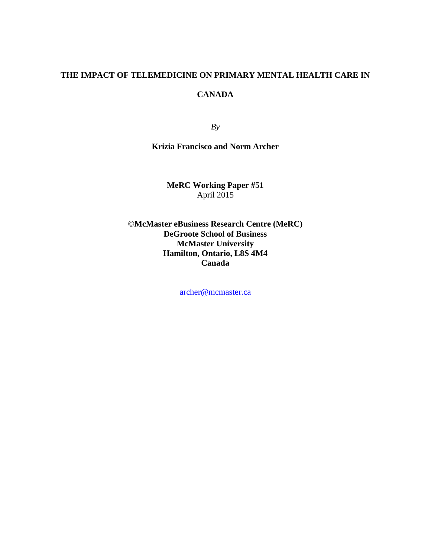## **THE IMPACT OF TELEMEDICINE ON PRIMARY MENTAL HEALTH CARE IN CANADA**

*By* 

#### **Krizia Francisco and Norm Archer**

**MeRC Working Paper #51** April 2015

©**McMaster eBusiness Research Centre (MeRC) DeGroote School of Business McMaster University Hamilton, Ontario, L8S 4M4 Canada** 

[archer@mcmaster.ca](mailto:archer@mcmaster.ca)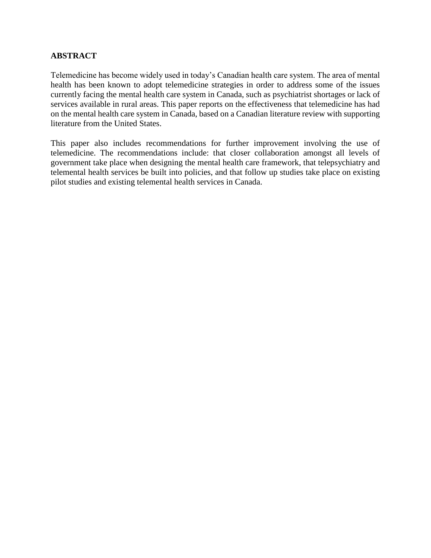#### **ABSTRACT**

Telemedicine has become widely used in today's Canadian health care system. The area of mental health has been known to adopt telemedicine strategies in order to address some of the issues currently facing the mental health care system in Canada, such as psychiatrist shortages or lack of services available in rural areas. This paper reports on the effectiveness that telemedicine has had on the mental health care system in Canada, based on a Canadian literature review with supporting literature from the United States.

This paper also includes recommendations for further improvement involving the use of telemedicine. The recommendations include: that closer collaboration amongst all levels of government take place when designing the mental health care framework, that telepsychiatry and telemental health services be built into policies, and that follow up studies take place on existing pilot studies and existing telemental health services in Canada.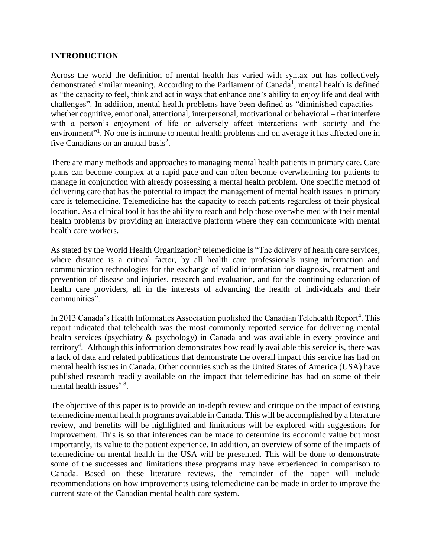#### **INTRODUCTION**

Across the world the definition of mental health has varied with syntax but has collectively demonstrated similar meaning. According to the Parliament of Canada<sup>1</sup>, mental health is defined as "the capacity to feel, think and act in ways that enhance one's ability to enjoy life and deal with challenges". In addition, mental health problems have been defined as "diminished capacities – whether cognitive, emotional, attentional, interpersonal, motivational or behavioral – that interfere with a person's enjoyment of life or adversely affect interactions with society and the environment"<sup>1</sup>. No one is immune to mental health problems and on average it has affected one in five Canadians on an annual basis<sup>2</sup>.

There are many methods and approaches to managing mental health patients in primary care. Care plans can become complex at a rapid pace and can often become overwhelming for patients to manage in conjunction with already possessing a mental health problem. One specific method of delivering care that has the potential to impact the management of mental health issues in primary care is telemedicine. Telemedicine has the capacity to reach patients regardless of their physical location. As a clinical tool it has the ability to reach and help those overwhelmed with their mental health problems by providing an interactive platform where they can communicate with mental health care workers.

As stated by the World Health Organization<sup>3</sup> telemedicine is "The delivery of health care services, where distance is a critical factor, by all health care professionals using information and communication technologies for the exchange of valid information for diagnosis, treatment and prevention of disease and injuries, research and evaluation, and for the continuing education of health care providers, all in the interests of advancing the health of individuals and their communities".

In 2013 Canada's Health Informatics Association published the Canadian Telehealth Report<sup>4</sup>. This report indicated that telehealth was the most commonly reported service for delivering mental health services (psychiatry & psychology) in Canada and was available in every province and territory<sup>4</sup>. Although this information demonstrates how readily available this service is, there was a lack of data and related publications that demonstrate the overall impact this service has had on mental health issues in Canada. Other countries such as the United States of America (USA) have published research readily available on the impact that telemedicine has had on some of their mental health issues<sup>5-8</sup>.

The objective of this paper is to provide an in-depth review and critique on the impact of existing telemedicine mental health programs available in Canada. This will be accomplished by a literature review, and benefits will be highlighted and limitations will be explored with suggestions for improvement. This is so that inferences can be made to determine its economic value but most importantly, its value to the patient experience. In addition, an overview of some of the impacts of telemedicine on mental health in the USA will be presented. This will be done to demonstrate some of the successes and limitations these programs may have experienced in comparison to Canada. Based on these literature reviews, the remainder of the paper will include recommendations on how improvements using telemedicine can be made in order to improve the current state of the Canadian mental health care system.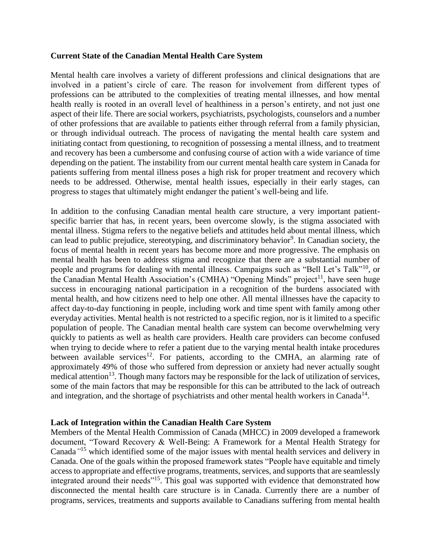#### **Current State of the Canadian Mental Health Care System**

Mental health care involves a variety of different professions and clinical designations that are involved in a patient's circle of care. The reason for involvement from different types of professions can be attributed to the complexities of treating mental illnesses, and how mental health really is rooted in an overall level of healthiness in a person's entirety, and not just one aspect of their life. There are social workers, psychiatrists, psychologists, counselors and a number of other professions that are available to patients either through referral from a family physician, or through individual outreach. The process of navigating the mental health care system and initiating contact from questioning, to recognition of possessing a mental illness, and to treatment and recovery has been a cumbersome and confusing course of action with a wide variance of time depending on the patient. The instability from our current mental health care system in Canada for patients suffering from mental illness poses a high risk for proper treatment and recovery which needs to be addressed. Otherwise, mental health issues, especially in their early stages, can progress to stages that ultimately might endanger the patient's well-being and life.

In addition to the confusing Canadian mental health care structure, a very important patientspecific barrier that has, in recent years, been overcome slowly, is the stigma associated with mental illness. Stigma refers to the negative beliefs and attitudes held about mental illness, which can lead to public prejudice, stereotyping, and discriminatory behavior<sup>9</sup>. In Canadian society, the focus of mental health in recent years has become more and more progressive. The emphasis on mental health has been to address stigma and recognize that there are a substantial number of people and programs for dealing with mental illness. Campaigns such as "Bell Let's Talk"<sup>10</sup>, or the Canadian Mental Health Association's (CMHA) "Opening Minds" project<sup>11</sup>, have seen huge success in encouraging national participation in a recognition of the burdens associated with mental health, and how citizens need to help one other. All mental illnesses have the capacity to affect day-to-day functioning in people, including work and time spent with family among other everyday activities. Mental health is not restricted to a specific region, nor is it limited to a specific population of people. The Canadian mental health care system can become overwhelming very quickly to patients as well as health care providers. Health care providers can become confused when trying to decide where to refer a patient due to the varying mental health intake procedures between available services<sup>12</sup>. For patients, according to the CMHA, an alarming rate of approximately 49% of those who suffered from depression or anxiety had never actually sought medical attention<sup>13</sup>. Though many factors may be responsible for the lack of utilization of services, some of the main factors that may be responsible for this can be attributed to the lack of outreach and integration, and the shortage of psychiatrists and other mental health workers in Canada<sup>14</sup>.

#### **Lack of Integration within the Canadian Health Care System**

Members of the Mental Health Commission of Canada (MHCC) in 2009 developed a framework document, "Toward Recovery & Well-Being: A Framework for a Mental Health Strategy for Canada*"* <sup>15</sup> which identified some of the major issues with mental health services and delivery in Canada. One of the goals within the proposed framework states "People have equitable and timely access to appropriate and effective programs, treatments, services, and supports that are seamlessly integrated around their needs"<sup>15</sup>. This goal was supported with evidence that demonstrated how disconnected the mental health care structure is in Canada. Currently there are a number of programs, services, treatments and supports available to Canadians suffering from mental health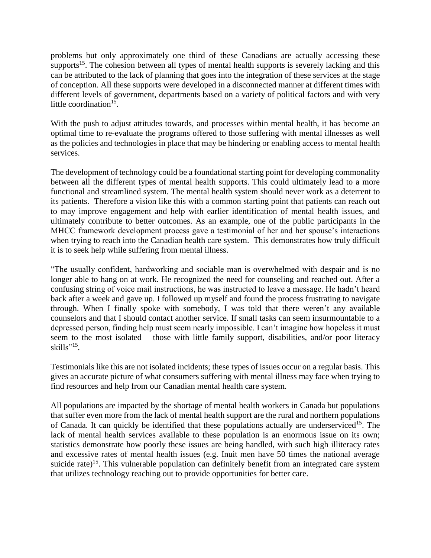problems but only approximately one third of these Canadians are actually accessing these supports<sup>15</sup>. The cohesion between all types of mental health supports is severely lacking and this can be attributed to the lack of planning that goes into the integration of these services at the stage of conception. All these supports were developed in a disconnected manner at different times with different levels of government, departments based on a variety of political factors and with very little coordination<sup>15</sup>.

With the push to adjust attitudes towards, and processes within mental health, it has become an optimal time to re-evaluate the programs offered to those suffering with mental illnesses as well as the policies and technologies in place that may be hindering or enabling access to mental health services.

The development of technology could be a foundational starting point for developing commonality between all the different types of mental health supports. This could ultimately lead to a more functional and streamlined system. The mental health system should never work as a deterrent to its patients. Therefore a vision like this with a common starting point that patients can reach out to may improve engagement and help with earlier identification of mental health issues, and ultimately contribute to better outcomes. As an example, one of the public participants in the MHCC framework development process gave a testimonial of her and her spouse's interactions when trying to reach into the Canadian health care system. This demonstrates how truly difficult it is to seek help while suffering from mental illness.

"The usually confident, hardworking and sociable man is overwhelmed with despair and is no longer able to hang on at work. He recognized the need for counseling and reached out. After a confusing string of voice mail instructions, he was instructed to leave a message. He hadn't heard back after a week and gave up. I followed up myself and found the process frustrating to navigate through. When I finally spoke with somebody, I was told that there weren't any available counselors and that I should contact another service. If small tasks can seem insurmountable to a depressed person, finding help must seem nearly impossible. I can't imagine how hopeless it must seem to the most isolated – those with little family support, disabilities, and/or poor literacy skills"<sup>15</sup> *.*

Testimonials like this are not isolated incidents; these types of issues occur on a regular basis. This gives an accurate picture of what consumers suffering with mental illness may face when trying to find resources and help from our Canadian mental health care system.

All populations are impacted by the shortage of mental health workers in Canada but populations that suffer even more from the lack of mental health support are the rural and northern populations of Canada. It can quickly be identified that these populations actually are underserviced<sup>15</sup>. The lack of mental health services available to these population is an enormous issue on its own; statistics demonstrate how poorly these issues are being handled, with such high illiteracy rates and excessive rates of mental health issues (e.g. Inuit men have 50 times the national average suicide rate)<sup>15</sup>. This vulnerable population can definitely benefit from an integrated care system that utilizes technology reaching out to provide opportunities for better care.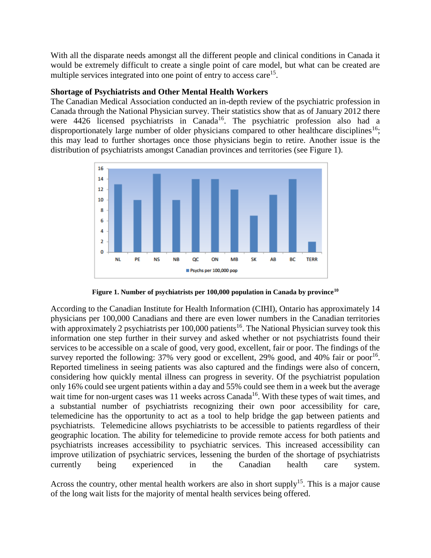With all the disparate needs amongst all the different people and clinical conditions in Canada it would be extremely difficult to create a single point of care model, but what can be created are multiple services integrated into one point of entry to access care<sup>15</sup>.

#### **Shortage of Psychiatrists and Other Mental Health Workers**

The Canadian Medical Association conducted an in-depth review of the psychiatric profession in Canada through the National Physician survey. Their statistics show that as of January 2012 there were 4426 licensed psychiatrists in Canada<sup>16</sup>. The psychiatric profession also had a disproportionately large number of older physicians compared to other healthcare disciplines<sup>16</sup>; this may lead to further shortages once those physicians begin to retire. Another issue is the distribution of psychiatrists amongst Canadian provinces and territories (see Figure 1).



**Figure 1. Number of psychiatrists per 100,000 population in Canada by province<sup>10</sup>**

According to the Canadian Institute for Health Information (CIHI), Ontario has approximately 14 physicians per 100,000 Canadians and there are even lower numbers in the Canadian territories with approximately 2 psychiatrists per  $100,000$  patients<sup>16</sup>. The National Physician survey took this information one step further in their survey and asked whether or not psychiatrists found their services to be accessible on a scale of good, very good, excellent, fair or poor. The findings of the survey reported the following:  $37\%$  very good or excellent,  $29\%$  good, and  $40\%$  fair or poor<sup>16</sup>. Reported timeliness in seeing patients was also captured and the findings were also of concern, considering how quickly mental illness can progress in severity. Of the psychiatrist population only 16% could see urgent patients within a day and 55% could see them in a week but the average wait time for non-urgent cases was 11 weeks across Canada<sup>16</sup>. With these types of wait times, and a substantial number of psychiatrists recognizing their own poor accessibility for care, telemedicine has the opportunity to act as a tool to help bridge the gap between patients and psychiatrists. Telemedicine allows psychiatrists to be accessible to patients regardless of their geographic location. The ability for telemedicine to provide remote access for both patients and psychiatrists increases accessibility to psychiatric services. This increased accessibility can improve utilization of psychiatric services, lessening the burden of the shortage of psychiatrists currently being experienced in the Canadian health care system.

Across the country, other mental health workers are also in short supply<sup>15</sup>. This is a major cause of the long wait lists for the majority of mental health services being offered.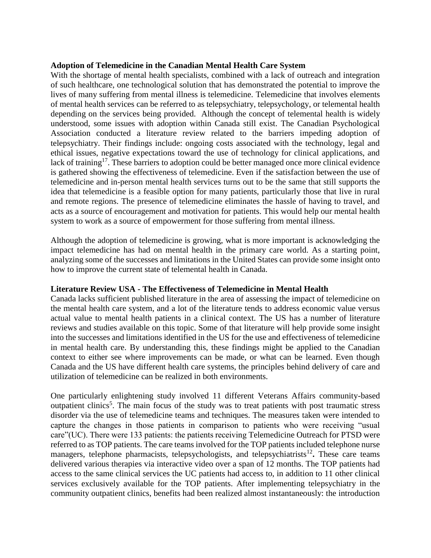#### **Adoption of Telemedicine in the Canadian Mental Health Care System**

With the shortage of mental health specialists, combined with a lack of outreach and integration of such healthcare, one technological solution that has demonstrated the potential to improve the lives of many suffering from mental illness is telemedicine. Telemedicine that involves elements of mental health services can be referred to as telepsychiatry, telepsychology, or telemental health depending on the services being provided. Although the concept of telemental health is widely understood, some issues with adoption within Canada still exist. The Canadian Psychological Association conducted a literature review related to the barriers impeding adoption of telepsychiatry. Their findings include: ongoing costs associated with the technology, legal and ethical issues, negative expectations toward the use of technology for clinical applications, and lack of training<sup>17</sup>. These barriers to adoption could be better managed once more clinical evidence is gathered showing the effectiveness of telemedicine. Even if the satisfaction between the use of telemedicine and in-person mental health services turns out to be the same that still supports the idea that telemedicine is a feasible option for many patients, particularly those that live in rural and remote regions. The presence of telemedicine eliminates the hassle of having to travel, and acts as a source of encouragement and motivation for patients. This would help our mental health system to work as a source of empowerment for those suffering from mental illness.

Although the adoption of telemedicine is growing, what is more important is acknowledging the impact telemedicine has had on mental health in the primary care world. As a starting point, analyzing some of the successes and limitations in the United States can provide some insight onto how to improve the current state of telemental health in Canada.

#### **Literature Review USA - The Effectiveness of Telemedicine in Mental Health**

Canada lacks sufficient published literature in the area of assessing the impact of telemedicine on the mental health care system, and a lot of the literature tends to address economic value versus actual value to mental health patients in a clinical context. The US has a number of literature reviews and studies available on this topic. Some of that literature will help provide some insight into the successes and limitations identified in the US for the use and effectiveness of telemedicine in mental health care. By understanding this, these findings might be applied to the Canadian context to either see where improvements can be made, or what can be learned. Even though Canada and the US have different health care systems, the principles behind delivery of care and utilization of telemedicine can be realized in both environments.

One particularly enlightening study involved 11 different Veterans Affairs community-based outpatient clinics<sup>5</sup>. The main focus of the study was to treat patients with post traumatic stress disorder via the use of telemedicine teams and techniques. The measures taken were intended to capture the changes in those patients in comparison to patients who were receiving "usual care"(UC). There were 133 patients: the patients receiving Telemedicine Outreach for PTSD were referred to as TOP patients. The care teams involved for the TOP patients included telephone nurse managers, telephone pharmacists, telepsychologists, and telepsychiatrists<sup>12</sup>. These care teams delivered various therapies via interactive video over a span of 12 months. The TOP patients had access to the same clinical services the UC patients had access to, in addition to 11 other clinical services exclusively available for the TOP patients. After implementing telepsychiatry in the community outpatient clinics, benefits had been realized almost instantaneously: the introduction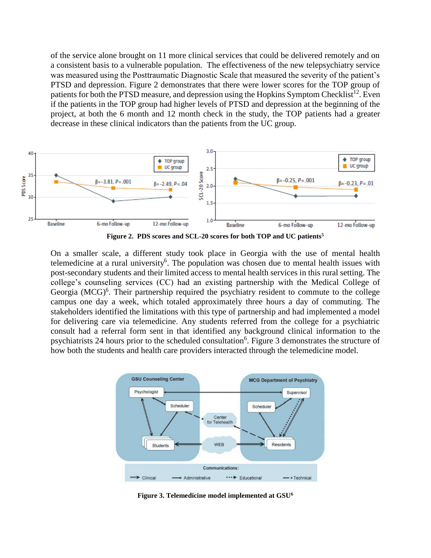of the service alone brought on 11 more clinical services that could be delivered remotely and on a consistent basis to a vulnerable population. The effectiveness of the new telepsychiatry service was measured using the Posttraumatic Diagnostic Scale that measured the severity of the patient's PTSD and depression. Figure 2 demonstrates that there were lower scores for the TOP group of patients for both the PTSD measure, and depression using the Hopkins Symptom Checklist<sup>12</sup>. Even if the patients in the TOP group had higher levels of PTSD and depression at the beginning of the project, at both the 6 month and 12 month check in the study, the TOP patients had a greater decrease in these clinical indicators than the patients from the UC group.



On a smaller scale, a different study took place in Georgia with the use of mental health telemedicine at a rural university<sup>6</sup>. The population was chosen due to mental health issues with post-secondary students and their limited access to mental health services in this rural setting. The college's counseling services (CC) had an existing partnership with the Medical College of Georgia  $(MCG)^6$ . Their partnership required the psychiatry resident to commute to the college campus one day a week, which totaled approximately three hours a day of commuting. The stakeholders identified the limitations with this type of partnership and had implemented a model for delivering care via telemedicine. Any students referred from the college for a psychiatric consult had a referral form sent in that identified any background clinical information to the psychiatrists 24 hours prior to the scheduled consultation<sup>6</sup>. Figure 3 demonstrates the structure of how both the students and health care providers interacted through the telemedicine model.



**Figure 3. Telemedicine model implemented at GSU6**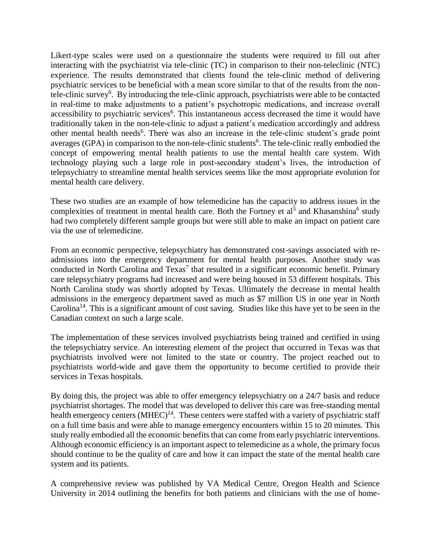Likert-type scales were used on a questionnaire the students were required to fill out after interacting with the psychiatrist via tele-clinic (TC) in comparison to their non-teleclinic (NTC) experience. The results demonstrated that clients found the tele-clinic method of delivering psychiatric services to be beneficial with a mean score similar to that of the results from the nontele-clinic survey<sup>6</sup>. By introducing the tele-clinic approach, psychiatrists were able to be contacted in real-time to make adjustments to a patient's psychotropic medications, and increase overall accessibility to psychiatric services<sup>6</sup>. This instantaneous access decreased the time it would have traditionally taken in the non-tele-clinic to adjust a patient's medication accordingly and address other mental health needs<sup>6</sup>. There was also an increase in the tele-clinic student's grade point averages (GPA) in comparison to the non-tele-clinic students<sup>6</sup>. The tele-clinic really embodied the concept of empowering mental health patients to use the mental health care system. With technology playing such a large role in post-secondary student's lives, the introduction of telepsychiatry to streamline mental health services seems like the most appropriate evolution for mental health care delivery.

These two studies are an example of how telemedicine has the capacity to address issues in the complexities of treatment in mental health care. Both the Fortney et al<sup>5</sup> and Khasanshina<sup>6</sup> study had two completely different sample groups but were still able to make an impact on patient care via the use of telemedicine.

From an economic perspective, telepsychiatry has demonstrated cost-savings associated with readmissions into the emergency department for mental health purposes. Another study was conducted in North Carolina and  $Texas<sup>7</sup>$  that resulted in a significant economic benefit. Primary care telepsychiatry programs had increased and were being housed in 53 different hospitals. This North Carolina study was shortly adopted by Texas. Ultimately the decrease in mental health admissions in the emergency department saved as much as \$7 million US in one year in North Carolina<sup>14</sup>. This is a significant amount of cost saving. Studies like this have yet to be seen in the Canadian context on such a large scale.

The implementation of these services involved psychiatrists being trained and certified in using the telepsychiatry service. An interesting element of the project that occurred in Texas was that psychiatrists involved were not limited to the state or country. The project reached out to psychiatrists world-wide and gave them the opportunity to become certified to provide their services in Texas hospitals.

By doing this, the project was able to offer emergency telepsychiatry on a 24/7 basis and reduce psychiatrist shortages. The model that was developed to deliver this care was free-standing mental health emergency centers (MHEC)<sup>14</sup>. These centers were staffed with a variety of psychiatric staff on a full time basis and were able to manage emergency encounters within 15 to 20 minutes. This study really embodied all the economic benefits that can come from early psychiatric interventions. Although economic efficiency is an important aspect to telemedicine as a whole, the primary focus should continue to be the quality of care and how it can impact the state of the mental health care system and its patients.

A comprehensive review was published by VA Medical Centre, Oregon Health and Science University in 2014 outlining the benefits for both patients and clinicians with the use of home-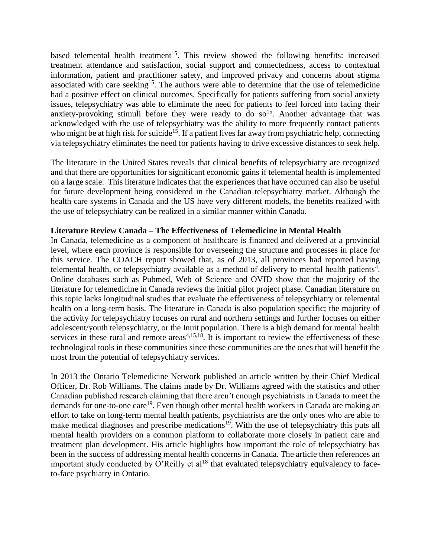based telemental health treatment<sup>15</sup>. This review showed the following benefits: increased treatment attendance and satisfaction, social support and connectedness, access to contextual information, patient and practitioner safety, and improved privacy and concerns about stigma associated with care seeking<sup>15</sup>. The authors were able to determine that the use of telemedicine had a positive effect on clinical outcomes. Specifically for patients suffering from social anxiety issues, telepsychiatry was able to eliminate the need for patients to feel forced into facing their anxiety-provoking stimuli before they were ready to do so<sup>15</sup>. Another advantage that was acknowledged with the use of telepsychiatry was the ability to more frequently contact patients who might be at high risk for suicide<sup>15</sup>. If a patient lives far away from psychiatric help, connecting via telepsychiatry eliminates the need for patients having to drive excessive distances to seek help.

The literature in the United States reveals that clinical benefits of telepsychiatry are recognized and that there are opportunities for significant economic gains if telemental health is implemented on a large scale. This literature indicates that the experiences that have occurred can also be useful for future development being considered in the Canadian telepsychiatry market. Although the health care systems in Canada and the US have very different models, the benefits realized with the use of telepsychiatry can be realized in a similar manner within Canada.

#### **Literature Review Canada – The Effectiveness of Telemedicine in Mental Health**

In Canada, telemedicine as a component of healthcare is financed and delivered at a provincial level, where each province is responsible for overseeing the structure and processes in place for this service. The COACH report showed that, as of 2013, all provinces had reported having telemental health, or telepsychiatry available as a method of delivery to mental health patients<sup>4</sup>. Online databases such as Pubmed, Web of Science and OVID show that the majority of the literature for telemedicine in Canada reviews the initial pilot project phase. Canadian literature on this topic lacks longitudinal studies that evaluate the effectiveness of telepsychiatry or telemental health on a long-term basis. The literature in Canada is also population specific; the majority of the activity for telepsychiatry focuses on rural and northern settings and further focuses on either adolescent/youth telepsychiatry, or the Inuit population. There is a high demand for mental health services in these rural and remote areas<sup> $4,15,18$ </sup>. It is important to review the effectiveness of these technological tools in these communities since these communities are the ones that will benefit the most from the potential of telepsychiatry services.

In 2013 the Ontario Telemedicine Network published an article written by their Chief Medical Officer, Dr. Rob Williams. The claims made by Dr. Williams agreed with the statistics and other Canadian published research claiming that there aren't enough psychiatrists in Canada to meet the demands for one-to-one care<sup>19</sup>. Even though other mental health workers in Canada are making an effort to take on long-term mental health patients, psychiatrists are the only ones who are able to make medical diagnoses and prescribe medications<sup>19</sup>. With the use of telepsychiatry this puts all mental health providers on a common platform to collaborate more closely in patient care and treatment plan development. His article highlights how important the role of telepsychiatry has been in the success of addressing mental health concerns in Canada. The article then references an important study conducted by  $\overline{O}$ 'Reilly et al<sup>18</sup> that evaluated telepsychiatry equivalency to faceto-face psychiatry in Ontario.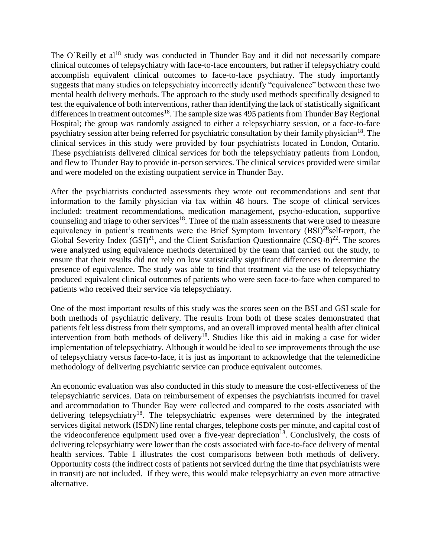The O'Reilly et al<sup>18</sup> study was conducted in Thunder Bay and it did not necessarily compare clinical outcomes of telepsychiatry with face-to-face encounters, but rather if telepsychiatry could accomplish equivalent clinical outcomes to face-to-face psychiatry. The study importantly suggests that many studies on telepsychiatry incorrectly identify "equivalence" between these two mental health delivery methods. The approach to the study used methods specifically designed to test the equivalence of both interventions, rather than identifying the lack of statistically significant differences in treatment outcomes<sup>18</sup>. The sample size was 495 patients from Thunder Bay Regional Hospital; the group was randomly assigned to either a telepsychiatry session, or a face-to-face psychiatry session after being referred for psychiatric consultation by their family physician<sup>18</sup>. The clinical services in this study were provided by four psychiatrists located in London, Ontario. These psychiatrists delivered clinical services for both the telepsychiatry patients from London, and flew to Thunder Bay to provide in-person services. The clinical services provided were similar and were modeled on the existing outpatient service in Thunder Bay.

After the psychiatrists conducted assessments they wrote out recommendations and sent that information to the family physician via fax within 48 hours. The scope of clinical services included: treatment recommendations, medication management, psycho-education, supportive counseling and triage to other services<sup>18</sup>. Three of the main assessments that were used to measure equivalency in patient's treatments were the Brief Symptom Inventory  $(BSI)^{20}$ self-report, the Global Severity Index  $(GSI)^{21}$ , and the Client Satisfaction Questionnaire  $(CSQ-8)^{22}$ . The scores were analyzed using equivalence methods determined by the team that carried out the study, to ensure that their results did not rely on low statistically significant differences to determine the presence of equivalence. The study was able to find that treatment via the use of telepsychiatry produced equivalent clinical outcomes of patients who were seen face-to-face when compared to patients who received their service via telepsychiatry.

One of the most important results of this study was the scores seen on the BSI and GSI scale for both methods of psychiatric delivery. The results from both of these scales demonstrated that patients felt less distress from their symptoms, and an overall improved mental health after clinical intervention from both methods of delivery<sup>18</sup>. Studies like this aid in making a case for wider implementation of telepsychiatry. Although it would be ideal to see improvements through the use of telepsychiatry versus face-to-face, it is just as important to acknowledge that the telemedicine methodology of delivering psychiatric service can produce equivalent outcomes.

An economic evaluation was also conducted in this study to measure the cost-effectiveness of the telepsychiatric services. Data on reimbursement of expenses the psychiatrists incurred for travel and accommodation to Thunder Bay were collected and compared to the costs associated with delivering telepsychiatry<sup>18</sup>. The telepsychiatric expenses were determined by the integrated services digital network (ISDN) line rental charges, telephone costs per minute, and capital cost of the videoconference equipment used over a five-year depreciation<sup>18</sup>. Conclusively, the costs of delivering telepsychiatry were lower than the costs associated with face-to-face delivery of mental health services. Table 1 illustrates the cost comparisons between both methods of delivery. Opportunity costs (the indirect costs of patients not serviced during the time that psychiatrists were in transit) are not included. If they were, this would make telepsychiatry an even more attractive alternative.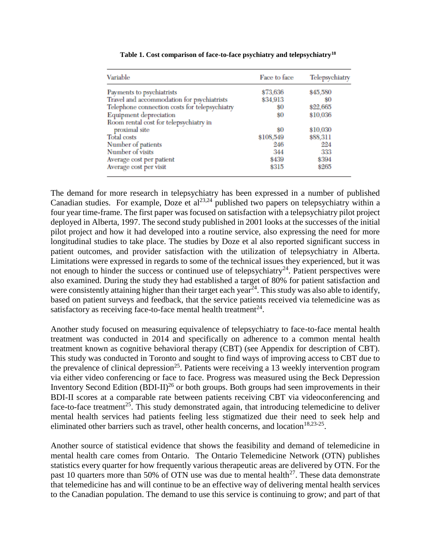| Variable                                      | Face to face | Telepsychiatry |
|-----------------------------------------------|--------------|----------------|
| Payments to psychiatrists                     | \$73,636     | \$45,580       |
| Travel and accommodation for psychiatrists    | \$34,913     | 80             |
| Telephone connection costs for telepsychiatry | 80           | \$22,665       |
| Equipment depreciation                        | \$0          | \$10,036       |
| Room rental cost for telepsychiatry in        |              |                |
| proximal site                                 | 80           | \$10,030       |
| <b>Total</b> costs                            | \$108,549    | \$88,311       |
| Number of patients                            | 246          | 224            |
| Number of visits                              | 344          | 333            |
| Average cost per patient                      | \$439        | \$394          |
| Average cost per visit                        | \$315        | \$265          |

**Table 1. Cost comparison of face-to-face psychiatry and telepsychiatry<sup>18</sup>**

The demand for more research in telepsychiatry has been expressed in a number of published Canadian studies. For example, Doze et al<sup>23,24</sup> published two papers on telepsychiatry within a four year time-frame. The first paper was focused on satisfaction with a telepsychiatry pilot project deployed in Alberta, 1997. The second study published in 2001 looks at the successes of the initial pilot project and how it had developed into a routine service, also expressing the need for more longitudinal studies to take place. The studies by Doze et al also reported significant success in patient outcomes, and provider satisfaction with the utilization of telepsychiatry in Alberta. Limitations were expressed in regards to some of the technical issues they experienced, but it was not enough to hinder the success or continued use of telepsychiatry<sup>24</sup>. Patient perspectives were also examined. During the study they had established a target of 80% for patient satisfaction and were consistently attaining higher than their target each year $^{24}$ . This study was also able to identify, based on patient surveys and feedback, that the service patients received via telemedicine was as satisfactory as receiving face-to-face mental health treatment $^{24}$ .

Another study focused on measuring equivalence of telepsychiatry to face-to-face mental health treatment was conducted in 2014 and specifically on adherence to a common mental health treatment known as cognitive behavioral therapy (CBT) (see Appendix for description of CBT). This study was conducted in Toronto and sought to find ways of improving access to CBT due to the prevalence of clinical depression<sup>25</sup>. Patients were receiving a 13 weekly intervention program via either video conferencing or face to face. Progress was measured using the Beck Depression Inventory Second Edition  $(BDI-II)^{26}$  or both groups. Both groups had seen improvements in their BDI-II scores at a comparable rate between patients receiving CBT via videoconferencing and face-to-face treatment<sup>25</sup>. This study demonstrated again, that introducing telemedicine to deliver mental health services had patients feeling less stigmatized due their need to seek help and eliminated other barriers such as travel, other health concerns, and location<sup>18,23-25</sup>.

Another source of statistical evidence that shows the feasibility and demand of telemedicine in mental health care comes from Ontario. The Ontario Telemedicine Network (OTN) publishes statistics every quarter for how frequently various therapeutic areas are delivered by OTN. For the past 10 quarters more than 50% of OTN use was due to mental health<sup>27</sup>. These data demonstrate that telemedicine has and will continue to be an effective way of delivering mental health services to the Canadian population. The demand to use this service is continuing to grow; and part of that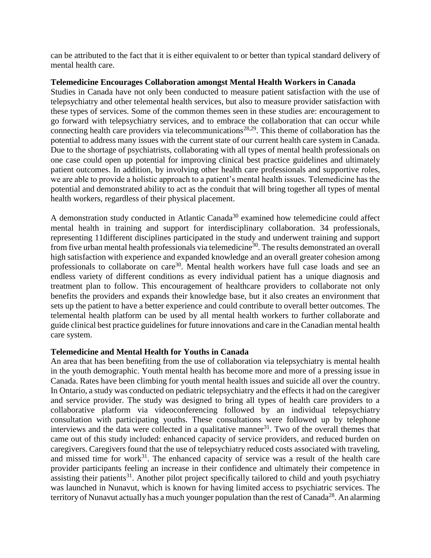can be attributed to the fact that it is either equivalent to or better than typical standard delivery of mental health care.

#### **Telemedicine Encourages Collaboration amongst Mental Health Workers in Canada**

Studies in Canada have not only been conducted to measure patient satisfaction with the use of telepsychiatry and other telemental health services, but also to measure provider satisfaction with these types of services. Some of the common themes seen in these studies are: encouragement to go forward with telepsychiatry services, and to embrace the collaboration that can occur while connecting health care providers via telecommunications<sup>28,29</sup>. This theme of collaboration has the potential to address many issues with the current state of our current health care system in Canada. Due to the shortage of psychiatrists, collaborating with all types of mental health professionals on one case could open up potential for improving clinical best practice guidelines and ultimately patient outcomes. In addition, by involving other health care professionals and supportive roles, we are able to provide a holistic approach to a patient's mental health issues. Telemedicine has the potential and demonstrated ability to act as the conduit that will bring together all types of mental health workers, regardless of their physical placement.

A demonstration study conducted in Atlantic Canada<sup>30</sup> examined how telemedicine could affect mental health in training and support for interdisciplinary collaboration. 34 professionals, representing 11different disciplines participated in the study and underwent training and support from five urban mental health professionals via telemedicine<sup>30</sup>. The results demonstrated an overall high satisfaction with experience and expanded knowledge and an overall greater cohesion among professionals to collaborate on care<sup>30</sup>. Mental health workers have full case loads and see an endless variety of different conditions as every individual patient has a unique diagnosis and treatment plan to follow. This encouragement of healthcare providers to collaborate not only benefits the providers and expands their knowledge base, but it also creates an environment that sets up the patient to have a better experience and could contribute to overall better outcomes. The telemental health platform can be used by all mental health workers to further collaborate and guide clinical best practice guidelines for future innovations and care in the Canadian mental health care system.

#### **Telemedicine and Mental Health for Youths in Canada**

An area that has been benefiting from the use of collaboration via telepsychiatry is mental health in the youth demographic. Youth mental health has become more and more of a pressing issue in Canada. Rates have been climbing for youth mental health issues and suicide all over the country. In Ontario, a study was conducted on pediatric telepsychiatry and the effects it had on the caregiver and service provider. The study was designed to bring all types of health care providers to a collaborative platform via videoconferencing followed by an individual telepsychiatry consultation with participating youths. These consultations were followed up by telephone interviews and the data were collected in a qualitative manner<sup>31</sup>. Two of the overall themes that came out of this study included: enhanced capacity of service providers, and reduced burden on caregivers. Caregivers found that the use of telepsychiatry reduced costs associated with traveling, and missed time for work $31$ . The enhanced capacity of service was a result of the health care provider participants feeling an increase in their confidence and ultimately their competence in assisting their patients<sup>31</sup>. Another pilot project specifically tailored to child and youth psychiatry was launched in Nunavut, which is known for having limited access to psychiatric services. The territory of Nunavut actually has a much younger population than the rest of Canada<sup>28</sup>. An alarming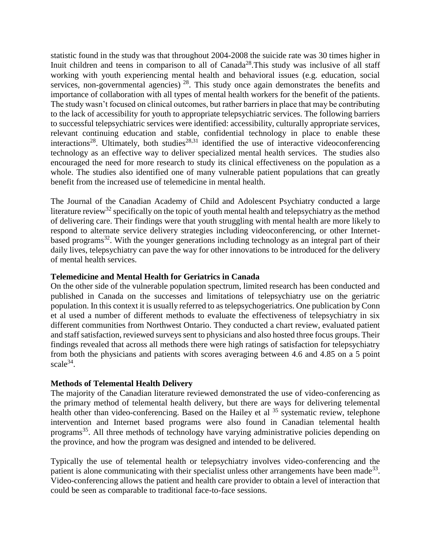statistic found in the study was that throughout 2004-2008 the suicide rate was 30 times higher in Inuit children and teens in comparison to all of  $Canada^{28}$ . This study was inclusive of all staff working with youth experiencing mental health and behavioral issues (e.g. education, social services, non-governmental agencies)  $28$ . This study once again demonstrates the benefits and importance of collaboration with all types of mental health workers for the benefit of the patients. The study wasn't focused on clinical outcomes, but rather barriers in place that may be contributing to the lack of accessibility for youth to appropriate telepsychiatric services. The following barriers to successful telepsychiatric services were identified: accessibility, culturally appropriate services, relevant continuing education and stable, confidential technology in place to enable these interactions<sup>28</sup>. Ultimately, both studies<sup>28,31</sup> identified the use of interactive videoconferencing technology as an effective way to deliver specialized mental health services. The studies also encouraged the need for more research to study its clinical effectiveness on the population as a whole. The studies also identified one of many vulnerable patient populations that can greatly benefit from the increased use of telemedicine in mental health.

The Journal of the Canadian Academy of Child and Adolescent Psychiatry conducted a large literature review<sup>32</sup> specifically on the topic of youth mental health and telepsychiatry as the method of delivering care. Their findings were that youth struggling with mental health are more likely to respond to alternate service delivery strategies including videoconferencing, or other Internetbased programs<sup>32</sup>. With the younger generations including technology as an integral part of their daily lives, telepsychiatry can pave the way for other innovations to be introduced for the delivery of mental health services.

#### **Telemedicine and Mental Health for Geriatrics in Canada**

On the other side of the vulnerable population spectrum, limited research has been conducted and published in Canada on the successes and limitations of telepsychiatry use on the geriatric population. In this context it is usually referred to as telepsychogeriatrics. One publication by Conn et al used a number of different methods to evaluate the effectiveness of telepsychiatry in six different communities from Northwest Ontario. They conducted a chart review, evaluated patient and staff satisfaction, reviewed surveys sent to physicians and also hosted three focus groups. Their findings revealed that across all methods there were high ratings of satisfaction for telepsychiatry from both the physicians and patients with scores averaging between 4.6 and 4.85 on a 5 point scale<sup>34</sup>.

#### **Methods of Telemental Health Delivery**

The majority of the Canadian literature reviewed demonstrated the use of video-conferencing as the primary method of telemental health delivery, but there are ways for delivering telemental health other than video-conferencing. Based on the Hailey et al <sup>35</sup> systematic review, telephone intervention and Internet based programs were also found in Canadian telemental health programs<sup>35</sup>. All three methods of technology have varying administrative policies depending on the province, and how the program was designed and intended to be delivered.

Typically the use of telemental health or telepsychiatry involves video-conferencing and the patient is alone communicating with their specialist unless other arrangements have been made<sup>33</sup>. Video-conferencing allows the patient and health care provider to obtain a level of interaction that could be seen as comparable to traditional face-to-face sessions.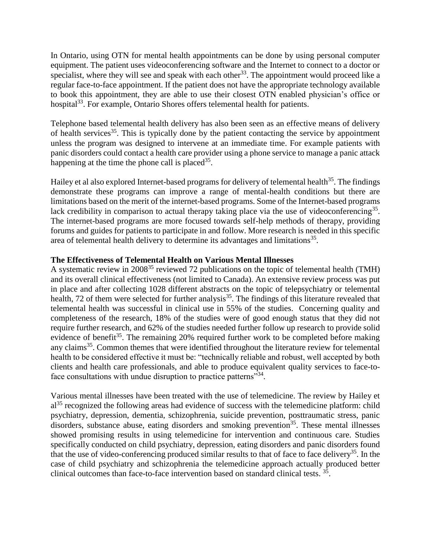In Ontario, using OTN for mental health appointments can be done by using personal computer equipment. The patient uses videoconferencing software and the Internet to connect to a doctor or specialist, where they will see and speak with each other<sup>33</sup>. The appointment would proceed like a regular face-to-face appointment. If the patient does not have the appropriate technology available to book this appointment, they are able to use their closest OTN enabled physician's office or hospital<sup>33</sup>. For example, Ontario Shores offers telemental health for patients.

Telephone based telemental health delivery has also been seen as an effective means of delivery of health services<sup>35</sup>. This is typically done by the patient contacting the service by appointment unless the program was designed to intervene at an immediate time. For example patients with panic disorders could contact a health care provider using a phone service to manage a panic attack happening at the time the phone call is placed  $35$ .

Hailey et al also explored Internet-based programs for delivery of telemental health<sup>35</sup>. The findings demonstrate these programs can improve a range of mental-health conditions but there are limitations based on the merit of the internet-based programs. Some of the Internet-based programs lack credibility in comparison to actual therapy taking place via the use of videoconferencing<sup>35</sup>. The internet-based programs are more focused towards self-help methods of therapy, providing forums and guides for patients to participate in and follow. More research is needed in this specific area of telemental health delivery to determine its advantages and limitations<sup>35</sup>.

#### **The Effectiveness of Telemental Health on Various Mental Illnesses**

A systematic review in 2008<sup>35</sup> reviewed 72 publications on the topic of telemental health (TMH) and its overall clinical effectiveness (not limited to Canada). An extensive review process was put in place and after collecting 1028 different abstracts on the topic of telepsychiatry or telemental health, 72 of them were selected for further analysis<sup>35</sup>. The findings of this literature revealed that telemental health was successful in clinical use in 55% of the studies. Concerning quality and completeness of the research, 18% of the studies were of good enough status that they did not require further research, and 62% of the studies needed further follow up research to provide solid evidence of benefit<sup>35</sup>. The remaining 20% required further work to be completed before making any claims<sup>35</sup>. Common themes that were identified throughout the literature review for telemental health to be considered effective it must be: "technically reliable and robust, well accepted by both clients and health care professionals, and able to produce equivalent quality services to face-toface consultations with undue disruption to practice patterns"<sup>34</sup>.

Various mental illnesses have been treated with the use of telemedicine. The review by Hailey et al<sup>35</sup> recognized the following areas had evidence of success with the telemedicine platform: child psychiatry, depression, dementia, schizophrenia, suicide prevention, posttraumatic stress, panic disorders, substance abuse, eating disorders and smoking prevention<sup>35</sup>. These mental illnesses showed promising results in using telemedicine for intervention and continuous care. Studies specifically conducted on child psychiatry, depression, eating disorders and panic disorders found that the use of video-conferencing produced similar results to that of face to face delivery<sup>35</sup>. In the case of child psychiatry and schizophrenia the telemedicine approach actually produced better clinical outcomes than face-to-face intervention based on standard clinical tests. <sup>35</sup> .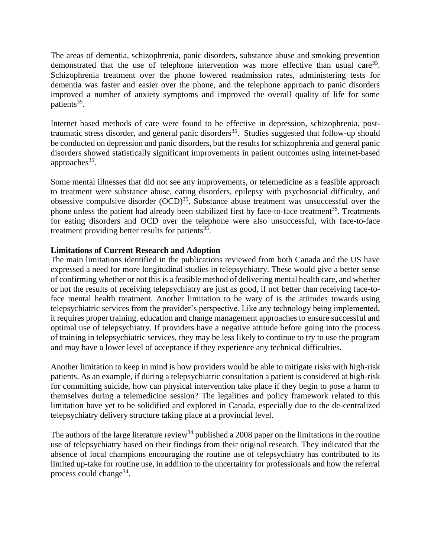The areas of dementia, schizophrenia, panic disorders, substance abuse and smoking prevention demonstrated that the use of telephone intervention was more effective than usual care<sup>35</sup>. Schizophrenia treatment over the phone lowered readmission rates, administering tests for dementia was faster and easier over the phone, and the telephone approach to panic disorders improved a number of anxiety symptoms and improved the overall quality of life for some patients<sup>35</sup>.

Internet based methods of care were found to be effective in depression, schizophrenia, posttraumatic stress disorder, and general panic disorders<sup>35</sup>. Studies suggested that follow-up should be conducted on depression and panic disorders, but the results for schizophrenia and general panic disorders showed statistically significant improvements in patient outcomes using internet-based approaches $35$ .

Some mental illnesses that did not see any improvements, or telemedicine as a feasible approach to treatment were substance abuse, eating disorders, epilepsy with psychosocial difficulty, and obsessive compulsive disorder  $(OCD)^{35}$ . Substance abuse treatment was unsuccessful over the phone unless the patient had already been stabilized first by face-to-face treatment<sup>35</sup>. Treatments for eating disorders and OCD over the telephone were also unsuccessful, with face-to-face treatment providing better results for patients<sup>35</sup>.

#### **Limitations of Current Research and Adoption**

The main limitations identified in the publications reviewed from both Canada and the US have expressed a need for more longitudinal studies in telepsychiatry. These would give a better sense of confirming whether or not this is a feasible method of delivering mental health care, and whether or not the results of receiving telepsychiatry are just as good, if not better than receiving face-toface mental health treatment. Another limitation to be wary of is the attitudes towards using telepsychiatric services from the provider's perspective. Like any technology being implemented, it requires proper training, education and change management approaches to ensure successful and optimal use of telepsychiatry. If providers have a negative attitude before going into the process of training in telepsychiatric services, they may be less likely to continue to try to use the program and may have a lower level of acceptance if they experience any technical difficulties.

Another limitation to keep in mind is how providers would be able to mitigate risks with high-risk patients. As an example, if during a telepsychiatric consultation a patient is considered at high-risk for committing suicide, how can physical intervention take place if they begin to pose a harm to themselves during a telemedicine session? The legalities and policy framework related to this limitation have yet to be solidified and explored in Canada, especially due to the de-centralized telepsychiatry delivery structure taking place at a provincial level.

The authors of the large literature review<sup>34</sup> published a 2008 paper on the limitations in the routine use of telepsychiatry based on their findings from their original research. They indicated that the absence of local champions encouraging the routine use of telepsychiatry has contributed to its limited up-take for routine use, in addition to the uncertainty for professionals and how the referral process could change<sup>34</sup>.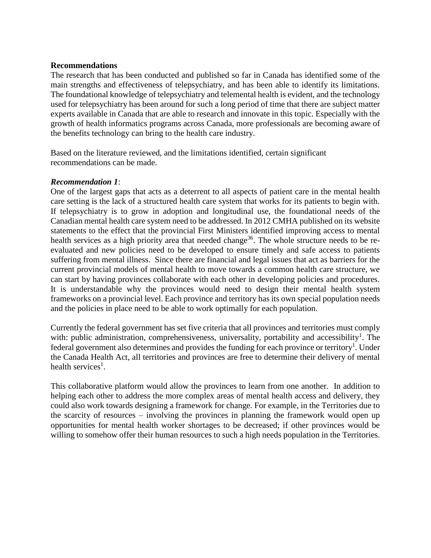#### **Recommendations**

The research that has been conducted and published so far in Canada has identified some of the main strengths and effectiveness of telepsychiatry, and has been able to identify its limitations. The foundational knowledge of telepsychiatry and telemental health is evident, and the technology used for telepsychiatry has been around for such a long period of time that there are subject matter experts available in Canada that are able to research and innovate in this topic. Especially with the growth of health informatics programs across Canada, more professionals are becoming aware of the benefits technology can bring to the health care industry.

Based on the literature reviewed, and the limitations identified, certain significant recommendations can be made.

#### *Recommendation 1*:

One of the largest gaps that acts as a deterrent to all aspects of patient care in the mental health care setting is the lack of a structured health care system that works for its patients to begin with. If telepsychiatry is to grow in adoption and longitudinal use, the foundational needs of the Canadian mental health care system need to be addressed. In 2012 CMHA published on its website statements to the effect that the provincial First Ministers identified improving access to mental health services as a high priority area that needed change<sup>36</sup>. The whole structure needs to be reevaluated and new policies need to be developed to ensure timely and safe access to patients suffering from mental illness. Since there are financial and legal issues that act as barriers for the current provincial models of mental health to move towards a common health care structure, we can start by having provinces collaborate with each other in developing policies and procedures. It is understandable why the provinces would need to design their mental health system frameworks on a provincial level. Each province and territory has its own special population needs and the policies in place need to be able to work optimally for each population.

Currently the federal government has set five criteria that all provinces and territories must comply with: public administration, comprehensiveness, universality, portability and accessibility<sup>1</sup>. The federal government also determines and provides the funding for each province or territory<sup>1</sup>. Under the Canada Health Act, all territories and provinces are free to determine their delivery of mental health services<sup>1</sup>.

This collaborative platform would allow the provinces to learn from one another. In addition to helping each other to address the more complex areas of mental health access and delivery, they could also work towards designing a framework for change. For example, in the Territories due to the scarcity of resources – involving the provinces in planning the framework would open up opportunities for mental health worker shortages to be decreased; if other provinces would be willing to somehow offer their human resources to such a high needs population in the Territories.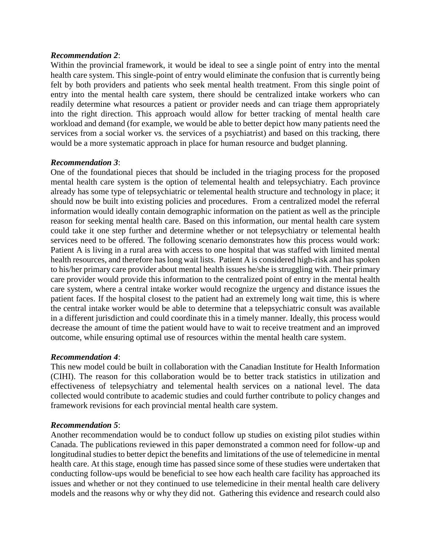#### *Recommendation 2*:

Within the provincial framework, it would be ideal to see a single point of entry into the mental health care system. This single-point of entry would eliminate the confusion that is currently being felt by both providers and patients who seek mental health treatment. From this single point of entry into the mental health care system, there should be centralized intake workers who can readily determine what resources a patient or provider needs and can triage them appropriately into the right direction. This approach would allow for better tracking of mental health care workload and demand (for example, we would be able to better depict how many patients need the services from a social worker vs. the services of a psychiatrist) and based on this tracking, there would be a more systematic approach in place for human resource and budget planning.

#### *Recommendation 3*:

One of the foundational pieces that should be included in the triaging process for the proposed mental health care system is the option of telemental health and telepsychiatry. Each province already has some type of telepsychiatric or telemental health structure and technology in place; it should now be built into existing policies and procedures. From a centralized model the referral information would ideally contain demographic information on the patient as well as the principle reason for seeking mental health care. Based on this information, our mental health care system could take it one step further and determine whether or not telepsychiatry or telemental health services need to be offered. The following scenario demonstrates how this process would work: Patient A is living in a rural area with access to one hospital that was staffed with limited mental health resources, and therefore has long wait lists. Patient A is considered high-risk and has spoken to his/her primary care provider about mental health issues he/she is struggling with. Their primary care provider would provide this information to the centralized point of entry in the mental health care system, where a central intake worker would recognize the urgency and distance issues the patient faces. If the hospital closest to the patient had an extremely long wait time, this is where the central intake worker would be able to determine that a telepsychiatric consult was available in a different jurisdiction and could coordinate this in a timely manner. Ideally, this process would decrease the amount of time the patient would have to wait to receive treatment and an improved outcome, while ensuring optimal use of resources within the mental health care system.

#### *Recommendation 4*:

This new model could be built in collaboration with the Canadian Institute for Health Information (CIHI). The reason for this collaboration would be to better track statistics in utilization and effectiveness of telepsychiatry and telemental health services on a national level. The data collected would contribute to academic studies and could further contribute to policy changes and framework revisions for each provincial mental health care system.

#### *Recommendation 5*:

Another recommendation would be to conduct follow up studies on existing pilot studies within Canada. The publications reviewed in this paper demonstrated a common need for follow-up and longitudinal studies to better depict the benefits and limitations of the use of telemedicine in mental health care. At this stage, enough time has passed since some of these studies were undertaken that conducting follow-ups would be beneficial to see how each health care facility has approached its issues and whether or not they continued to use telemedicine in their mental health care delivery models and the reasons why or why they did not. Gathering this evidence and research could also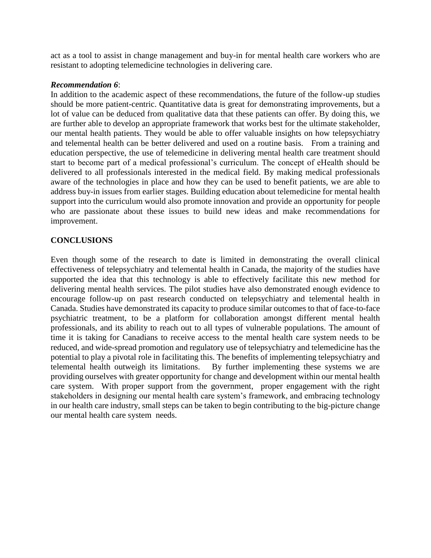act as a tool to assist in change management and buy-in for mental health care workers who are resistant to adopting telemedicine technologies in delivering care.

#### *Recommendation 6*:

In addition to the academic aspect of these recommendations, the future of the follow-up studies should be more patient-centric. Quantitative data is great for demonstrating improvements, but a lot of value can be deduced from qualitative data that these patients can offer. By doing this, we are further able to develop an appropriate framework that works best for the ultimate stakeholder, our mental health patients. They would be able to offer valuable insights on how telepsychiatry and telemental health can be better delivered and used on a routine basis. From a training and education perspective, the use of telemedicine in delivering mental health care treatment should start to become part of a medical professional's curriculum. The concept of eHealth should be delivered to all professionals interested in the medical field. By making medical professionals aware of the technologies in place and how they can be used to benefit patients, we are able to address buy-in issues from earlier stages. Building education about telemedicine for mental health support into the curriculum would also promote innovation and provide an opportunity for people who are passionate about these issues to build new ideas and make recommendations for improvement.

#### **CONCLUSIONS**

Even though some of the research to date is limited in demonstrating the overall clinical effectiveness of telepsychiatry and telemental health in Canada, the majority of the studies have supported the idea that this technology is able to effectively facilitate this new method for delivering mental health services. The pilot studies have also demonstrated enough evidence to encourage follow-up on past research conducted on telepsychiatry and telemental health in Canada. Studies have demonstrated its capacity to produce similar outcomes to that of face-to-face psychiatric treatment, to be a platform for collaboration amongst different mental health professionals, and its ability to reach out to all types of vulnerable populations. The amount of time it is taking for Canadians to receive access to the mental health care system needs to be reduced, and wide-spread promotion and regulatory use of telepsychiatry and telemedicine has the potential to play a pivotal role in facilitating this. The benefits of implementing telepsychiatry and telemental health outweigh its limitations. By further implementing these systems we are providing ourselves with greater opportunity for change and development within our mental health care system. With proper support from the government, proper engagement with the right stakeholders in designing our mental health care system's framework, and embracing technology in our health care industry, small steps can be taken to begin contributing to the big-picture change our mental health care system needs.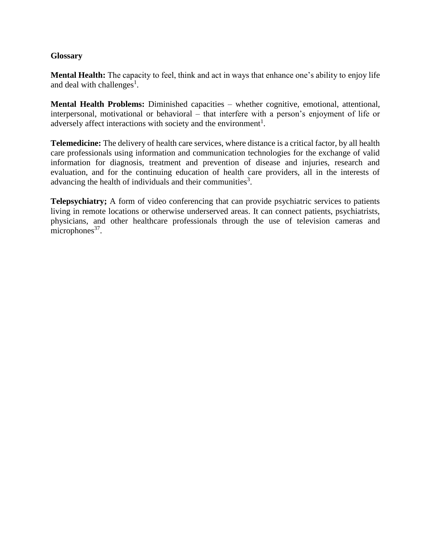#### **Glossary**

**Mental Health:** The capacity to feel, think and act in ways that enhance one's ability to enjoy life and deal with challenges<sup>1</sup>.

**Mental Health Problems:** Diminished capacities – whether cognitive, emotional, attentional, interpersonal, motivational or behavioral – that interfere with a person's enjoyment of life or adversely affect interactions with society and the environment<sup>1</sup>.

**Telemedicine:** The delivery of health care services, where distance is a critical factor, by all health care professionals using information and communication technologies for the exchange of valid information for diagnosis, treatment and prevention of disease and injuries, research and evaluation, and for the continuing education of health care providers, all in the interests of advancing the health of individuals and their communities<sup>3</sup>.

**Telepsychiatry;** A form of video conferencing that can provide psychiatric services to patients living in remote locations or otherwise underserved areas. It can connect patients, psychiatrists, physicians, and other healthcare professionals through the use of television cameras and  $microphones<sup>37</sup>$ .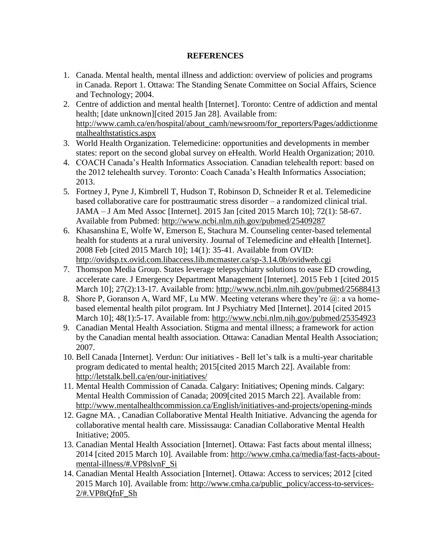#### **REFERENCES**

- 1. Canada. Mental health, mental illness and addiction: overview of policies and programs in Canada. Report 1. Ottawa: The Standing Senate Committee on Social Affairs, Science and Technology; 2004.
- 2. Centre of addiction and mental health [Internet]. Toronto: Centre of addiction and mental health; [date unknown][cited 2015 Jan 28]. Available from: [http://www.camh.ca/en/hospital/about\\_camh/newsroom/for\\_reporters/Pages/addictionme](http://www.camh.ca/en/hospital/about_camh/newsroom/for_reporters/Pages/addictionmentalhealthstatistics.aspx) [ntalhealthstatistics.aspx](http://www.camh.ca/en/hospital/about_camh/newsroom/for_reporters/Pages/addictionmentalhealthstatistics.aspx)
- 3. World Health Organization. Telemedicine: opportunities and developments in member states: report on the second global survey on eHealth. World Health Organization; 2010.
- 4. COACH Canada's Health Informatics Association. Canadian telehealth report: based on the 2012 telehealth survey. Toronto: Coach Canada's Health Informatics Association; 2013.
- 5. Fortney J, Pyne J, Kimbrell T, Hudson T, Robinson D, Schneider R et al. Telemedicine based collaborative care for posttraumatic stress disorder – a randomized clinical trial. JAMA – J Am Med Assoc [Internet]. 2015 Jan [cited 2015 March 10]; 72(1): 58-67. Available from Pubmed:<http://www.ncbi.nlm.nih.gov/pubmed/25409287>
- 6. Khasanshina E, Wolfe W, Emerson E, Stachura M. Counseling center-based telemental health for students at a rural university. Journal of Telemedicine and eHealth [Internet]. 2008 Feb [cited 2015 March 10]; 14(1): 35-41. Available from OVID: <http://ovidsp.tx.ovid.com.libaccess.lib.mcmaster.ca/sp-3.14.0b/ovidweb.cgi>
- 7. Thomspon Media Group. States leverage telepsychiatry solutions to ease ED crowding, accelerate care. J Emergency Department Management [Internet]. 2015 Feb 1 [cited 2015 March 10]; 27(2):13-17. Available from:<http://www.ncbi.nlm.nih.gov/pubmed/25688413>
- 8. Shore P, Goranson A, Ward MF, Lu MW. Meeting veterans where they're  $(a)$ : a va homebased elemental health pilot program. Int J Psychiatry Med [Internet]. 2014 [cited 2015 March 10]; 48(1):5-17. Available from:<http://www.ncbi.nlm.nih.gov/pubmed/25354923>
- 9. Canadian Mental Health Association. Stigma and mental illness; a framework for action by the Canadian mental health association. Ottawa: Canadian Mental Health Association; 2007.
- 10. Bell Canada [Internet]. Verdun: Our initiatives Bell let's talk is a multi-year charitable program dedicated to mental health; 2015[cited 2015 March 22]. Available from: <http://letstalk.bell.ca/en/our-initiatives/>
- 11. Mental Health Commission of Canada. Calgary: Initiatives; Opening minds. Calgary: Mental Health Commission of Canada; 2009[cited 2015 March 22]. Available from: <http://www.mentalhealthcommission.ca/English/initiatives-and-projects/opening-minds>
- 12. Gagne MA. , Canadian Collaborative Mental Health Initiative. Advancing the agenda for collaborative mental health care. Mississauga: Canadian Collaborative Mental Health Initiative; 2005.
- 13. Canadian Mental Health Association [Internet]. Ottawa: Fast facts about mental illness; 2014 [cited 2015 March 10]. Available from: [http://www.cmha.ca/media/fast-facts-about](http://www.cmha.ca/media/fast-facts-about-mental-illness/#.VP8slvnF_Si)[mental-illness/#.VP8slvnF\\_Si](http://www.cmha.ca/media/fast-facts-about-mental-illness/#.VP8slvnF_Si)
- 14. Canadian Mental Health Association [Internet]. Ottawa: Access to services; 2012 [cited 2015 March 10]. Available from: [http://www.cmha.ca/public\\_policy/access-to-services-](http://www.cmha.ca/public_policy/access-to-services-2/#.VP8tQfnF_Sh)[2/#.VP8tQfnF\\_Sh](http://www.cmha.ca/public_policy/access-to-services-2/#.VP8tQfnF_Sh)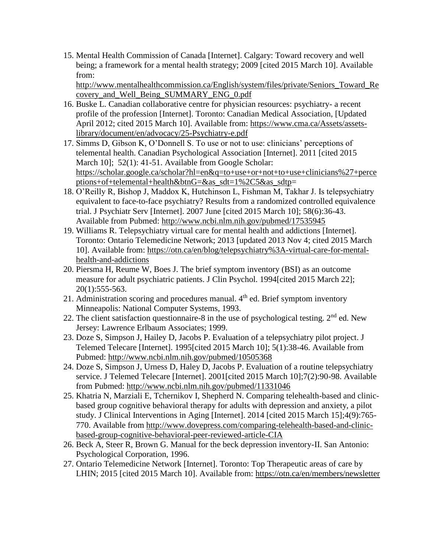15. Mental Health Commission of Canada [Internet]. Calgary: Toward recovery and well being; a framework for a mental health strategy; 2009 [cited 2015 March 10]. Available from:

[http://www.mentalhealthcommission.ca/English/system/files/private/Seniors\\_Toward\\_Re](http://www.mentalhealthcommission.ca/English/system/files/private/Seniors_Toward_Recovery_and_Well_Being_SUMMARY_ENG_0.pdf) [covery\\_and\\_Well\\_Being\\_SUMMARY\\_ENG\\_0.pdf](http://www.mentalhealthcommission.ca/English/system/files/private/Seniors_Toward_Recovery_and_Well_Being_SUMMARY_ENG_0.pdf)

- 16. Buske L. Canadian collaborative centre for physician resources: psychiatry- a recent profile of the profession [Internet]. Toronto: Canadian Medical Association, [Updated April 2012; cited 2015 March 10]. Available from: [https://www.cma.ca/Assets/assets](https://www.cma.ca/Assets/assets-library/document/en/advocacy/25-Psychiatry-e.pdf)[library/document/en/advocacy/25-Psychiatry-e.pdf](https://www.cma.ca/Assets/assets-library/document/en/advocacy/25-Psychiatry-e.pdf)
- 17. Simms D, Gibson K, O'Donnell S. To use or not to use: clinicians' perceptions of telemental health. Canadian Psychological Association [Internet]. 2011 [cited 2015 March 10]; 52(1): 41-51. Available from Google Scholar: [https://scholar.google.ca/scholar?hl=en&q=to+use+or+not+to+use+clinicians%27+perce](https://scholar.google.ca/scholar?hl=en&q=to+use+or+not+to+use+clinicians%27+perceptions+of+telemental+health&btnG=&as_sdt=1%2C5&as_sdtp) [ptions+of+telemental+health&btnG=&as\\_sdt=1%2C5&as\\_sdtp=](https://scholar.google.ca/scholar?hl=en&q=to+use+or+not+to+use+clinicians%27+perceptions+of+telemental+health&btnG=&as_sdt=1%2C5&as_sdtp)
- 18. O'Reilly R, Bishop J, Maddox K, Hutchinson L, Fishman M, Takhar J. Is telepsychiatry equivalent to face-to-face psychiatry? Results from a randomized controlled equivalence trial. J Psychiatr Serv [Internet]. 2007 June [cited 2015 March 10]; 58(6):36-43. Available from Pubmed:<http://www.ncbi.nlm.nih.gov/pubmed/17535945>
- 19. Williams R. Telepsychiatry virtual care for mental health and addictions [Internet]. Toronto: Ontario Telemedicine Network; 2013 [updated 2013 Nov 4; cited 2015 March 10]. Available from: [https://otn.ca/en/blog/telepsychiatry%3A-virtual-care-for-mental](https://otn.ca/en/blog/telepsychiatry%3A-virtual-care-for-mental-health-and-addictions)[health-and-addictions](https://otn.ca/en/blog/telepsychiatry%3A-virtual-care-for-mental-health-and-addictions)
- 20. Piersma H, Reume W, Boes J. The brief symptom inventory (BSI) as an outcome measure for adult psychiatric patients. J Clin Psychol. 1994[cited 2015 March 22]; 20(1):555-563.
- 21. Administration scoring and procedures manual.  $4<sup>th</sup>$  ed. Brief symptom inventory Minneapolis: National Computer Systems, 1993.
- 22. The client satisfaction questionnaire-8 in the use of psychological testing.  $2<sup>nd</sup>$  ed. New Jersey: Lawrence Erlbaum Associates; 1999.
- 23. Doze S, Simpson J, Hailey D, Jacobs P. Evaluation of a telepsychiatry pilot project. J Telemed Telecare [Internet]. 1995[cited 2015 March 10]; 5(1):38-46. Available from Pubmed:<http://www.ncbi.nlm.nih.gov/pubmed/10505368>
- 24. Doze S, Simpson J, Urness D, Haley D, Jacobs P. Evaluation of a routine telepsychiatry service. J Telemed Telecare [Internet]. 2001[cited 2015 March 10];7(2):90-98. Available from Pubmed:<http://www.ncbi.nlm.nih.gov/pubmed/11331046>
- 25. Khatria N, Marziali E, Tchernikov I, Shepherd N. Comparing telehealth-based and clinicbased group cognitive behavioral therapy for adults with depression and anxiety, a pilot study. J Clinical Interventions in Aging [Internet]. 2014 [cited 2015 March 15];4(9):765- 770. Available from [http://www.dovepress.com/comparing-telehealth-based-and-clinic](http://www.dovepress.com/comparing-telehealth-based-and-clinic-based-group-cognitive-behavioral-peer-reviewed-article-CIA)[based-group-cognitive-behavioral-peer-reviewed-article-CIA](http://www.dovepress.com/comparing-telehealth-based-and-clinic-based-group-cognitive-behavioral-peer-reviewed-article-CIA)
- 26. Beck A, Steer R, Brown G. Manual for the beck depression inventory-II. San Antonio: Psychological Corporation, 1996.
- 27. Ontario Telemedicine Network [Internet]. Toronto: Top Therapeutic areas of care by LHIN; 2015 [cited 2015 March 10]. Available from:<https://otn.ca/en/members/newsletter>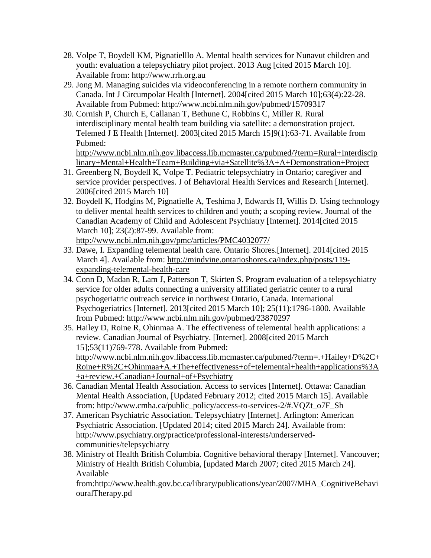- 28. Volpe T, Boydell KM, Pignatielllo A. Mental health services for Nunavut children and youth: evaluation a telepsychiatry pilot project. 2013 Aug [cited 2015 March 10]. Available from: [http://www.rrh.org.au](http://www.rrh.org.au/)
- 29. Jong M. Managing suicides via videoconferencing in a remote northern community in Canada. Int J Circumpolar Health [Internet]. 2004[cited 2015 March 10];63(4):22-28. Available from Pubmed:<http://www.ncbi.nlm.nih.gov/pubmed/15709317>
- 30. Cornish P, Church E, Callanan T, Bethune C, Robbins C, Miller R. Rural interdisciplinary mental health team building via satellite: a demonstration project. Telemed J E Health [Internet]. 2003[cited 2015 March 15]9(1):63-71. Available from Pubmed:

[http://www.ncbi.nlm.nih.gov.libaccess.lib.mcmaster.ca/pubmed/?term=Rural+Interdiscip](http://www.ncbi.nlm.nih.gov.libaccess.lib.mcmaster.ca/pubmed/?term=Rural+Interdisciplinary+Mental+Health+Team+Building+via+Satellite%3A+A+Demonstration+Project) [linary+Mental+Health+Team+Building+via+Satellite%3A+A+Demonstration+Project](http://www.ncbi.nlm.nih.gov.libaccess.lib.mcmaster.ca/pubmed/?term=Rural+Interdisciplinary+Mental+Health+Team+Building+via+Satellite%3A+A+Demonstration+Project)

- 31. Greenberg N, Boydell K, Volpe T. Pediatric telepsychiatry in Ontario; caregiver and service provider perspectives. J of Behavioral Health Services and Research [Internet]. 2006[cited 2015 March 10]
- 32. Boydell K, Hodgins M, Pignatielle A, Teshima J, Edwards H, Willis D. Using technology to deliver mental health services to children and youth; a scoping review. Journal of the Canadian Academy of Child and Adolescent Psychiatry [Internet]. 2014[cited 2015 March 10]; 23(2):87-99. Available from: <http://www.ncbi.nlm.nih.gov/pmc/articles/PMC4032077/>
- 33. Dawe, I. Expanding telemental health care. Ontario Shores.[Internet]. 2014[cited 2015 March 4]. Available from: [http://mindvine.ontarioshores.ca/index.php/posts/119-](http://mindvine.ontarioshores.ca/index.php/posts/119-expanding-tele-mental-health-care)
- [expanding-telemental-health-care](http://mindvine.ontarioshores.ca/index.php/posts/119-expanding-tele-mental-health-care) 34. Conn D, Madan R, Lam J, Patterson T, Skirten S. Program evaluation of a telepsychiatry service for older adults connecting a university affiliated geriatric center to a rural psychogeriatric outreach service in northwest Ontario, Canada. International Psychogeriatrics [Internet]. 2013[cited 2015 March 10]; 25(11):1796-1800. Available from Pubmed:<http://www.ncbi.nlm.nih.gov/pubmed/23870297>
- 35. Hailey D, Roine R, Ohinmaa A. The effectiveness of telemental health applications: a review. Canadian Journal of Psychiatry. [Internet]. 2008[cited 2015 March 15];53(11)769-778. Available from Pubmed: [http://www.ncbi.nlm.nih.gov.libaccess.lib.mcmaster.ca/pubmed/?term=.+Hailey+D%2C+](http://www.ncbi.nlm.nih.gov.libaccess.lib.mcmaster.ca/pubmed/?term=.+Hailey+D%2C+Roine+R%2C+Ohinmaa+A.+The+effectiveness+of+telemental+health+applications%3A+a+review.+Canadian+Journal+of+Psychiatry) [Roine+R%2C+Ohinmaa+A.+The+effectiveness+of+telemental+health+applications%3A](http://www.ncbi.nlm.nih.gov.libaccess.lib.mcmaster.ca/pubmed/?term=.+Hailey+D%2C+Roine+R%2C+Ohinmaa+A.+The+effectiveness+of+telemental+health+applications%3A+a+review.+Canadian+Journal+of+Psychiatry) [+a+review.+Canadian+Journal+of+Psychiatry](http://www.ncbi.nlm.nih.gov.libaccess.lib.mcmaster.ca/pubmed/?term=.+Hailey+D%2C+Roine+R%2C+Ohinmaa+A.+The+effectiveness+of+telemental+health+applications%3A+a+review.+Canadian+Journal+of+Psychiatry)
- 36. Canadian Mental Health Association. Access to services [Internet]. Ottawa: Canadian Mental Health Association, [Updated February 2012; cited 2015 March 15]. Available from: http://www.cmha.ca/public\_policy/access-to-services-2/#.VQZt\_o7F\_Sh
- 37. American Psychiatric Association. Telepsychiatry [Internet]. Arlington: American Psychiatric Association. [Updated 2014; cited 2015 March 24]. Available from: http://www.psychiatry.org/practice/professional-interests/underservedcommunities/telepsychiatry
- 38. Ministry of Health British Columbia. Cognitive behavioral therapy [Internet]. Vancouver; Ministry of Health British Columbia, [updated March 2007; cited 2015 March 24]. Available

from:http://www.health.gov.bc.ca/library/publications/year/2007/MHA\_CognitiveBehavi ouralTherapy.pd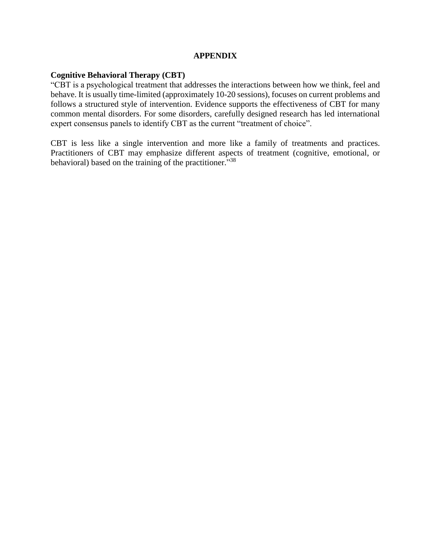#### **APPENDIX**

#### **Cognitive Behavioral Therapy (CBT)**

"CBT is a psychological treatment that addresses the interactions between how we think, feel and behave. It is usually time-limited (approximately 10-20 sessions), focuses on current problems and follows a structured style of intervention. Evidence supports the effectiveness of CBT for many common mental disorders. For some disorders, carefully designed research has led international expert consensus panels to identify CBT as the current "treatment of choice".

CBT is less like a single intervention and more like a family of treatments and practices. Practitioners of CBT may emphasize different aspects of treatment (cognitive, emotional, or behavioral) based on the training of the practitioner."<sup>38</sup>